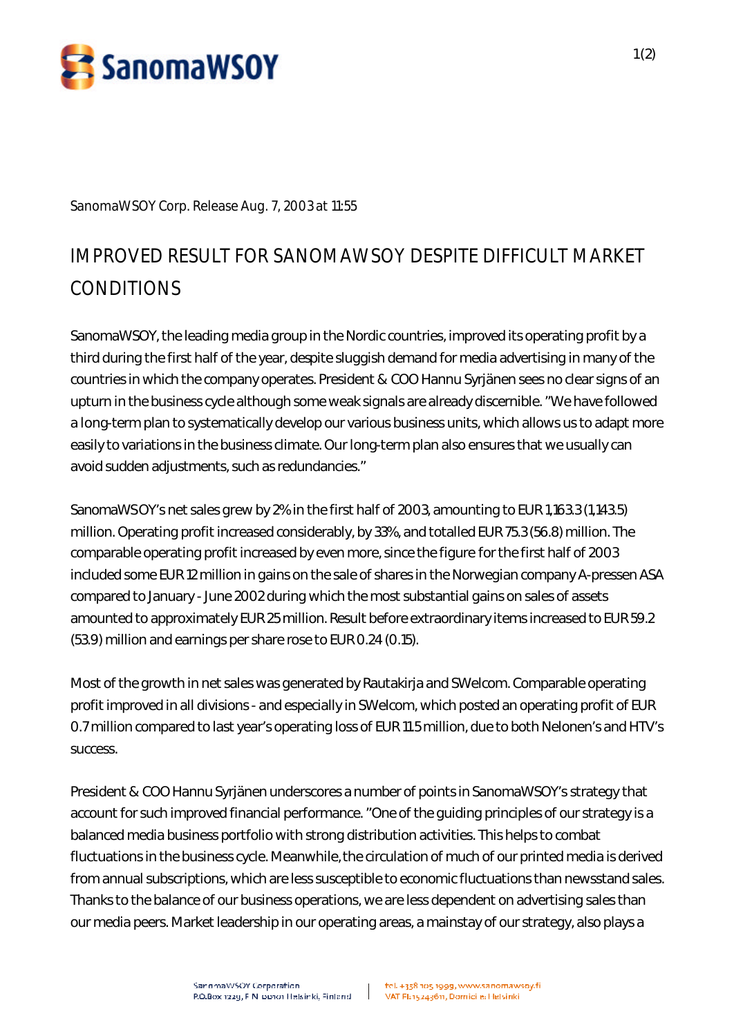

**SanomaWSOY Corp. Release Aug. 7, 2003 at 11:55**

## **IMPROVED RESULT FOR SANOMAWSOY DESPITE DIFFICULT MARKET CONDITIONS**

SanomaWSOY, the leading media group in the Nordic countries, improved its operating profit by a third during the first half of the year, despite sluggish demand for media advertising in many of the countries in which the company operates. President & COO Hannu Syrjänen sees no clear signs of an upturn in the business cycle although some weak signals are already discernible. "We have followed a long-term plan to systematically develop our various business units, which allows us to adapt more easily to variations in the business climate. Our long-term plan also ensures that we usually can avoid sudden adjustments, such as redundancies."

SanomaWSOY's net sales grew by 2% in the first half of 2003, amounting to EUR 1,163.3 (1,143.5) million. Operating profit increased considerably, by 33%, and totalled EUR 75.3 (56.8) million. The comparable operating profit increased by even more, since the figure for the first half of 2003 included some EUR 12 million in gains on the sale of shares in the Norwegian company A-pressen ASA compared to January - June 2002 during which the most substantial gains on sales of assets amounted to approximately EUR 25 million. Result before extraordinary items increased to EUR 59.2 (53.9) million and earnings per share rose to EUR 0.24 (0.15).

Most of the growth in net sales was generated by Rautakirja and SWelcom. Comparable operating profit improved in all divisions - and especially in SWelcom, which posted an operating profit of EUR 0.7 million compared to last year's operating loss of EUR 11.5 million, due to both Nelonen's and HTV's success.

President & COO Hannu Syrjänen underscores a number of points in SanomaWSOY's strategy that account for such improved financial performance. "One of the guiding principles of our strategy is a balanced media business portfolio with strong distribution activities. This helps to combat fluctuations in the business cycle. Meanwhile, the circulation of much of our printed media is derived from annual subscriptions, which are less susceptible to economic fluctuations than newsstand sales. Thanks to the balance of our business operations, we are less dependent on advertising sales than our media peers. Market leadership in our operating areas, a mainstay of our strategy, also plays a